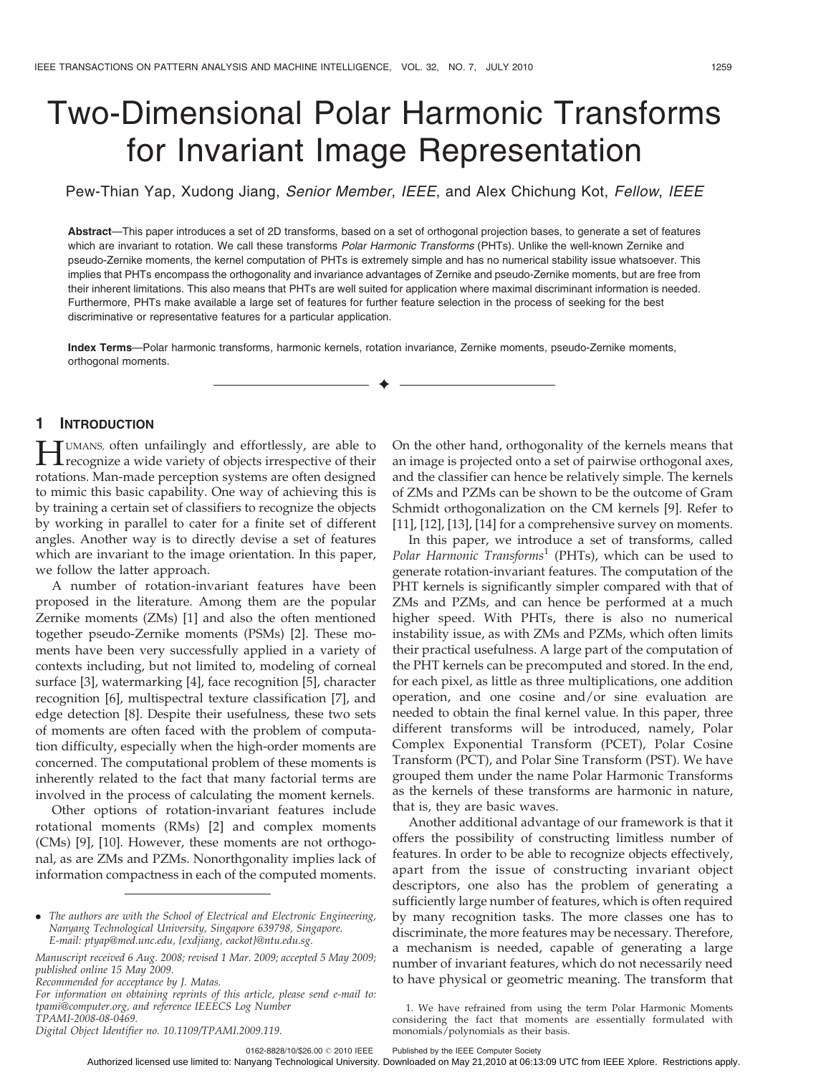# Two-Dimensional Polar Harmonic Transforms for Invariant Image Representation

Pew-Thian Yap, Xudong Jiang, Senior Member, IEEE, and Alex Chichung Kot, Fellow, IEEE

Abstract—This paper introduces a set of 2D transforms, based on a set of orthogonal projection bases, to generate a set of features which are invariant to rotation. We call these transforms Polar Harmonic Transforms (PHTs). Unlike the well-known Zernike and pseudo-Zernike moments, the kernel computation of PHTs is extremely simple and has no numerical stability issue whatsoever. This implies that PHTs encompass the orthogonality and invariance advantages of Zernike and pseudo-Zernike moments, but are free from their inherent limitations. This also means that PHTs are well suited for application where maximal discriminant information is needed. Furthermore, PHTs make available a large set of features for further feature selection in the process of seeking for the best discriminative or representative features for a particular application.

Index Terms—Polar harmonic transforms, harmonic kernels, rotation invariance, Zernike moments, pseudo-Zernike moments, orthogonal moments.

 $\ddotmark$ 

## 1 INTRODUCTION

**HUMANS, often unfailingly and effortlessly, are able to**<br>recognize a wide variety of objects irrespective of their rotations. Man-made perception systems are often designed to mimic this basic capability. One way of achieving this is by training a certain set of classifiers to recognize the objects by working in parallel to cater for a finite set of different angles. Another way is to directly devise a set of features which are invariant to the image orientation. In this paper, we follow the latter approach.

A number of rotation-invariant features have been proposed in the literature. Among them are the popular Zernike moments (ZMs) [1] and also the often mentioned together pseudo-Zernike moments (PSMs) [2]. These moments have been very successfully applied in a variety of contexts including, but not limited to, modeling of corneal surface [3], watermarking [4], face recognition [5], character recognition [6], multispectral texture classification [7], and edge detection [8]. Despite their usefulness, these two sets of moments are often faced with the problem of computation difficulty, especially when the high-order moments are concerned. The computational problem of these moments is inherently related to the fact that many factorial terms are involved in the process of calculating the moment kernels.

Other options of rotation-invariant features include rotational moments (RMs) [2] and complex moments (CMs) [9], [10]. However, these moments are not orthogonal, as are ZMs and PZMs. Nonorthgonality implies lack of information compactness in each of the computed moments.

Recommended for acceptance by J. Matas.

Digital Object Identifier no. 10.1109/TPAMI.2009.119.

On the other hand, orthogonality of the kernels means that an image is projected onto a set of pairwise orthogonal axes, and the classifier can hence be relatively simple. The kernels of ZMs and PZMs can be shown to be the outcome of Gram Schmidt orthogonalization on the CM kernels [9]. Refer to [11], [12], [13], [14] for a comprehensive survey on moments.

In this paper, we introduce a set of transforms, called Polar Harmonic Transforms<sup>1</sup> (PHTs), which can be used to generate rotation-invariant features. The computation of the PHT kernels is significantly simpler compared with that of ZMs and PZMs, and can hence be performed at a much higher speed. With PHTs, there is also no numerical instability issue, as with ZMs and PZMs, which often limits their practical usefulness. A large part of the computation of the PHT kernels can be precomputed and stored. In the end, for each pixel, as little as three multiplications, one addition operation, and one cosine and/or sine evaluation are needed to obtain the final kernel value. In this paper, three different transforms will be introduced, namely, Polar Complex Exponential Transform (PCET), Polar Cosine Transform (PCT), and Polar Sine Transform (PST). We have grouped them under the name Polar Harmonic Transforms as the kernels of these transforms are harmonic in nature, that is, they are basic waves.

Another additional advantage of our framework is that it offers the possibility of constructing limitless number of features. In order to be able to recognize objects effectively, apart from the issue of constructing invariant object descriptors, one also has the problem of generating a sufficiently large number of features, which is often required by many recognition tasks. The more classes one has to discriminate, the more features may be necessary. Therefore, a mechanism is needed, capable of generating a large number of invariant features, which do not necessarily need to have physical or geometric meaning. The transform that

0162-8828/10/\$26.00 @ 2010 IEEE Published by the IEEE Computer Society

<sup>.</sup> The authors are with the School of Electrical and Electronic Engineering, Nanyang Technological University, Singapore 639798, Singapore. E-mail: ptyap@med.unc.edu, {exdjiang, eackot}@ntu.edu.sg.

Manuscript received 6 Aug. 2008; revised 1 Mar. 2009; accepted 5 May 2009; published online 15 May 2009.

For information on obtaining reprints of this article, please send e-mail to: tpami@computer.org, and reference IEEECS Log Number TPAMI-2008-08-0469.

<sup>1.</sup> We have refrained from using the term Polar Harmonic Moments considering the fact that moments are essentially formulated with monomials/polynomials as their basis.

Authorized licensed use limited to: Nanyang Technological University. Downloaded on May 21,2010 at 06:13:09 UTC from IEEE Xplore. Restrictions apply.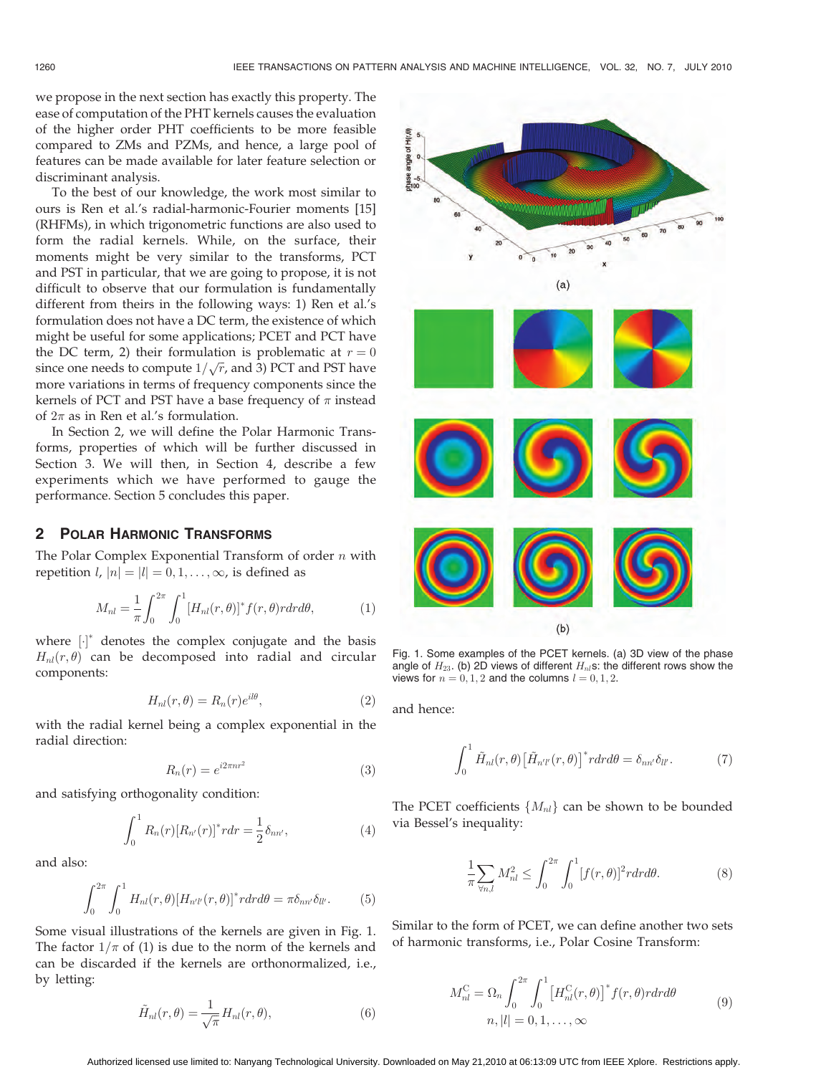$H(r, \theta)$ 

we propose in the next section has exactly this property. The ease of computation of the PHT kernels causes the evaluation of the higher order PHT coefficients to be more feasible compared to ZMs and PZMs, and hence, a large pool of features can be made available for later feature selection or discriminant analysis.

To the best of our knowledge, the work most similar to ours is Ren et al.'s radial-harmonic-Fourier moments [15] (RHFMs), in which trigonometric functions are also used to form the radial kernels. While, on the surface, their moments might be very similar to the transforms, PCT and PST in particular, that we are going to propose, it is not difficult to observe that our formulation is fundamentally different from theirs in the following ways: 1) Ren et al.'s formulation does not have a DC term, the existence of which might be useful for some applications; PCET and PCT have the DC term, 2) their formulation is problematic at  $r = 0$ since one needs to compute  $1/\sqrt{r}$ , and 3) PCT and PST have more variations in terms of frequency components since the kernels of PCT and PST have a base frequency of  $\pi$  instead of  $2\pi$  as in Ren et al.'s formulation.

In Section 2, we will define the Polar Harmonic Transforms, properties of which will be further discussed in Section 3. We will then, in Section 4, describe a few experiments which we have performed to gauge the performance. Section 5 concludes this paper.

#### 2 POLAR HARMONIC TRANSFORMS

The Polar Complex Exponential Transform of order  $n$  with repetition  $l$ ,  $|n| = |l| = 0, 1, \ldots, \infty$ , is defined as

$$
M_{nl} = \frac{1}{\pi} \int_0^{2\pi} \int_0^1 [H_{nl}(r,\theta)]^* f(r,\theta) r dr d\theta,
$$
 (1)

where  $[\cdot]^*$  denotes the complex conjugate and the basis  $H_{nl}(r, \theta)$  can be decomposed into radial and circular components:

$$
H_{nl}(r,\theta) = R_n(r)e^{il\theta},\tag{2}
$$

with the radial kernel being a complex exponential in the radial direction:

$$
R_n(r) = e^{i2\pi nr^2} \tag{3}
$$

and satisfying orthogonality condition:

$$
\int_0^1 R_n(r) [R_{n'}(r)]^* r dr = \frac{1}{2} \delta_{nn'}, \tag{4}
$$

and also:

$$
\int_0^{2\pi} \int_0^1 H_{nl}(r,\theta) \left[H_{n'l'}(r,\theta)\right]^* r dr d\theta = \pi \delta_{nn'} \delta_{ll'}.
$$
 (5)

Some visual illustrations of the kernels are given in Fig. 1. The factor  $1/\pi$  of (1) is due to the norm of the kernels and can be discarded if the kernels are orthonormalized, i.e., by letting:

$$
\tilde{H}_{nl}(r,\theta) = \frac{1}{\sqrt{\pi}} H_{nl}(r,\theta),\tag{6}
$$

 $(a)$ 

 $(b)$ 

Fig. 1. Some examples of the PCET kernels. (a) 3D view of the phase angle of  $H_{23}$ . (b) 2D views of different  $H_{nl}$ s: the different rows show the views for  $n = 0, 1, 2$  and the columns  $l = 0, 1, 2$ .

and hence:

$$
\int_0^1 \tilde{H}_{nl}(r,\theta) \left[ \tilde{H}_{n'l'}(r,\theta) \right]^* r dr d\theta = \delta_{nn'} \delta_{ll'}.
$$
 (7)

The PCET coefficients  ${M_{nl}}$  can be shown to be bounded via Bessel's inequality:

$$
\frac{1}{\pi} \sum_{\forall n,l} M_{nl}^2 \le \int_0^{2\pi} \int_0^1 [f(r,\theta)]^2 r dr d\theta. \tag{8}
$$

Similar to the form of PCET, we can define another two sets of harmonic transforms, i.e., Polar Cosine Transform:

$$
M_{nl}^{\text{C}} = \Omega_n \int_0^{2\pi} \int_0^1 \left[ H_{nl}^{\text{C}}(r,\theta) \right]^* f(r,\theta) r dr d\theta
$$
  
\n
$$
n, |l| = 0, 1, \dots, \infty
$$
\n(9)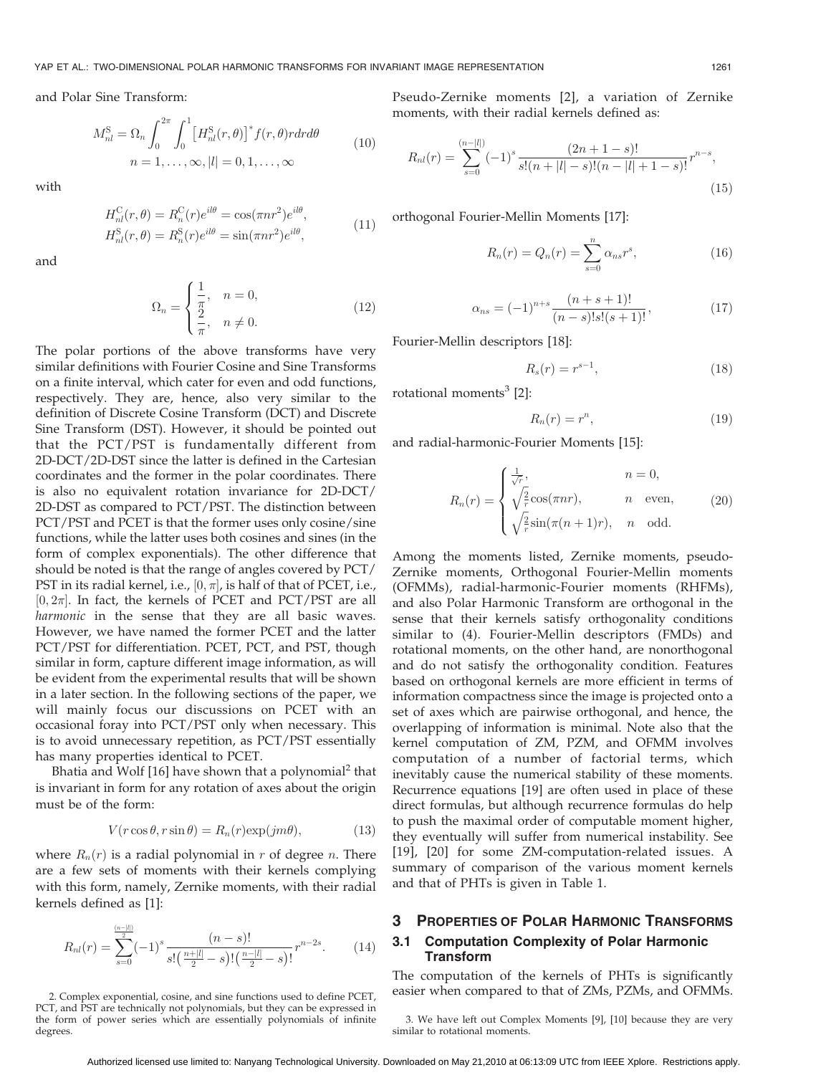and Polar Sine Transform:

$$
M_{nl}^{\rm S} = \Omega_n \int_0^{2\pi} \int_0^1 \left[ H_{nl}^{\rm S}(r,\theta) \right]^* f(r,\theta) r dr d\theta
$$
  
\n
$$
n = 1, \dots, \infty, |l| = 0, 1, \dots, \infty
$$
\n(10)

with

$$
H_{nl}^{\text{C}}(r,\theta) = R_n^{\text{C}}(r)e^{il\theta} = \cos(\pi nr^2)e^{il\theta},
$$
  
\n
$$
H_{nl}^{\text{S}}(r,\theta) = R_n^{\text{S}}(r)e^{il\theta} = \sin(\pi nr^2)e^{il\theta},
$$
\n(11)

and

$$
\Omega_n = \begin{cases} \frac{1}{\pi}, & n = 0, \\ \frac{2}{\pi}, & n \neq 0. \end{cases}
$$
 (12)

The polar portions of the above transforms have very similar definitions with Fourier Cosine and Sine Transforms on a finite interval, which cater for even and odd functions, respectively. They are, hence, also very similar to the definition of Discrete Cosine Transform (DCT) and Discrete Sine Transform (DST). However, it should be pointed out that the PCT/PST is fundamentally different from 2D-DCT/2D-DST since the latter is defined in the Cartesian coordinates and the former in the polar coordinates. There is also no equivalent rotation invariance for 2D-DCT/ 2D-DST as compared to PCT/PST. The distinction between PCT/PST and PCET is that the former uses only cosine/sine functions, while the latter uses both cosines and sines (in the form of complex exponentials). The other difference that should be noted is that the range of angles covered by PCT/ PST in its radial kernel, i.e.,  $[0, \pi]$ , is half of that of PCET, i.e.,  $[0, 2\pi]$ . In fact, the kernels of PCET and PCT/PST are all harmonic in the sense that they are all basic waves. However, we have named the former PCET and the latter PCT/PST for differentiation. PCET, PCT, and PST, though similar in form, capture different image information, as will be evident from the experimental results that will be shown in a later section. In the following sections of the paper, we will mainly focus our discussions on PCET with an occasional foray into PCT/PST only when necessary. This is to avoid unnecessary repetition, as PCT/PST essentially has many properties identical to PCET.

Bhatia and Wolf  $[16]$  have shown that a polynomial<sup>2</sup> that is invariant in form for any rotation of axes about the origin must be of the form:

$$
V(r\cos\theta, r\sin\theta) = R_n(r)\exp(jm\theta),\tag{13}
$$

where  $R_n(r)$  is a radial polynomial in r of degree n. There are a few sets of moments with their kernels complying with this form, namely, Zernike moments, with their radial kernels defined as [1]:

$$
R_{nl}(r) = \sum_{s=0}^{\frac{(n-|l|)}{2}} (-1)^s \frac{(n-s)!}{s! \left(\frac{n+|l|}{2} - s\right)! \left(\frac{n-|l|}{2} - s\right)!} r^{n-2s}.
$$
 (14)

2. Complex exponential, cosine, and sine functions used to define PCET, PCT, and PST are technically not polynomials, but they can be expressed in the form of power series which are essentially polynomials of infinite degrees.

Pseudo-Zernike moments [2], a variation of Zernike moments, with their radial kernels defined as:

$$
R_{nl}(r) = \sum_{s=0}^{(n-|l|)} (-1)^s \frac{(2n+1-s)!}{s!(n+|l|-s)!(n-|l|+1-s)!} r^{n-s},\tag{15}
$$

orthogonal Fourier-Mellin Moments [17]:

$$
R_n(r) = Q_n(r) = \sum_{s=0}^{n} \alpha_{ns} r^s,
$$
\n(16)

$$
\alpha_{ns} = (-1)^{n+s} \frac{(n+s+1)!}{(n-s)!s!(s+1)!},\tag{17}
$$

Fourier-Mellin descriptors [18]:

$$
R_s(r) = r^{s-1},\tag{18}
$$

rotational moments $3$  [2]:

$$
R_n(r) = r^n,\t\t(19)
$$

and radial-harmonic-Fourier Moments [15]:

$$
R_n(r) = \begin{cases} \frac{1}{\sqrt{r}}, & n = 0, \\ \sqrt{\frac{2}{r}} \cos(\pi n r), & n \text{ even}, \\ \sqrt{\frac{2}{r}} \sin(\pi (n+1)r), & n \text{ odd}. \end{cases}
$$
(20)

Among the moments listed, Zernike moments, pseudo-Zernike moments, Orthogonal Fourier-Mellin moments (OFMMs), radial-harmonic-Fourier moments (RHFMs), and also Polar Harmonic Transform are orthogonal in the sense that their kernels satisfy orthogonality conditions similar to (4). Fourier-Mellin descriptors (FMDs) and rotational moments, on the other hand, are nonorthogonal and do not satisfy the orthogonality condition. Features based on orthogonal kernels are more efficient in terms of information compactness since the image is projected onto a set of axes which are pairwise orthogonal, and hence, the overlapping of information is minimal. Note also that the kernel computation of ZM, PZM, and OFMM involves computation of a number of factorial terms, which inevitably cause the numerical stability of these moments. Recurrence equations [19] are often used in place of these direct formulas, but although recurrence formulas do help to push the maximal order of computable moment higher, they eventually will suffer from numerical instability. See [19], [20] for some ZM-computation-related issues. A summary of comparison of the various moment kernels and that of PHTs is given in Table 1.

## 3 PROPERTIES OF POLAR HARMONIC TRANSFORMS 3.1 Computation Complexity of Polar Harmonic Transform

The computation of the kernels of PHTs is significantly easier when compared to that of ZMs, PZMs, and OFMMs.

3. We have left out Complex Moments [9], [10] because they are very similar to rotational moments.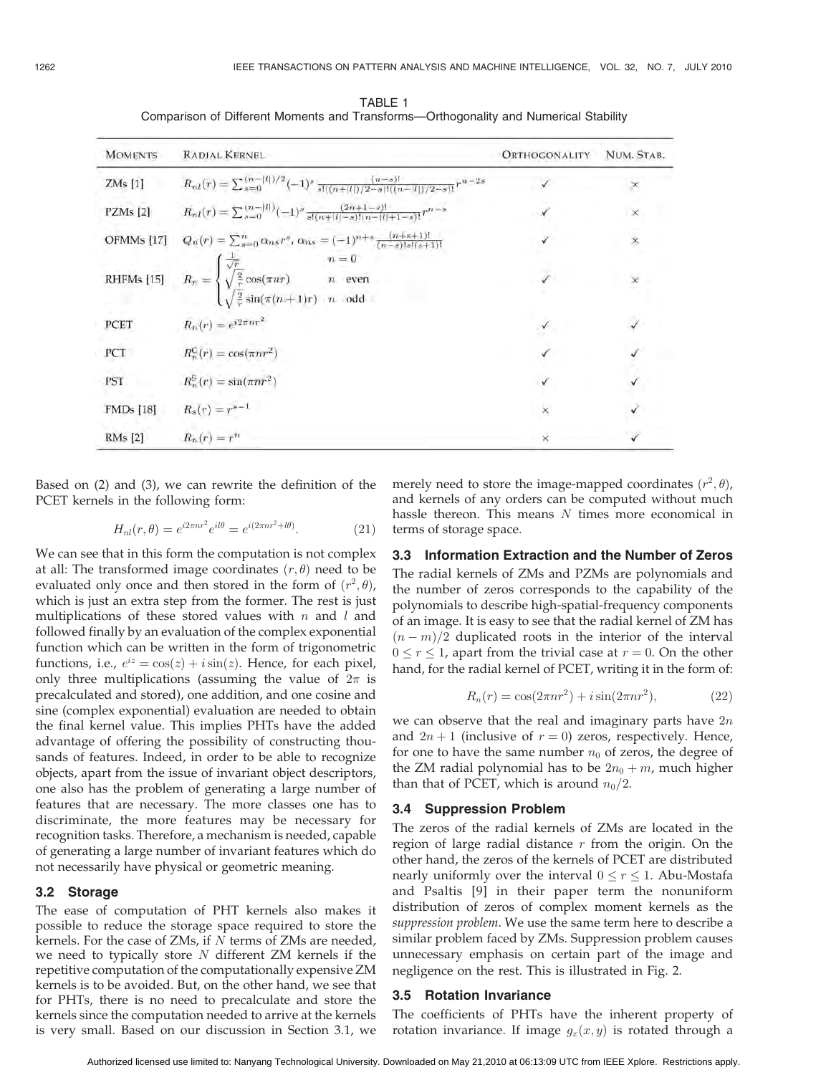| <b>MOMENTS</b>   | <b>RADIAL KERNEL</b>                                                                                                                                                                | ORTHOGONALITY | NUM. STAB. |
|------------------|-------------------------------------------------------------------------------------------------------------------------------------------------------------------------------------|---------------|------------|
| ZMs [1]          | $R_{nl}(r) = \sum_{s=0}^{(n- l )/2} (-1)^s \frac{(n-s)!}{s!(n+ l )/2-s)!(n- l )/2-s)!} r^{n-2s}$                                                                                    |               | ×          |
| PZMs [2]         | $R_{nl}(r) = \sum_{s=0}^{(n- l )} (-1)^s \frac{(2n+1-s)!}{s!(n+ l -s)!(n- l +1-s)!} r^{n-s}$                                                                                        |               | $\times$   |
| OFMMs [17]       | $Q_n(r) = \sum_{s=0}^n \alpha_{ns} r^s, \, \alpha_{ns} = (-1)^{n+s} \frac{(n+s+1)!}{(n-s)!s!(s+1)!}$                                                                                |               | $\times$   |
|                  | RHFMs [15] $R_n = \begin{cases} \frac{1}{\sqrt{r}} & n = 0 \\ \sqrt{\frac{2}{r}} \cos(\pi n r) & n \text{ even} \\ \sqrt{\frac{2}{r}} \sin(\pi (n+1)r) & n \text{ odd} \end{cases}$ | $\checkmark$  | ×          |
| PCET             | $R_n(r) = e^{i2\pi n r^2}$                                                                                                                                                          | $\checkmark$  |            |
| PCT              | $R_n^{\mathsf{C}}(r) = \cos(\pi n r^2)$                                                                                                                                             | $\checkmark$  |            |
| <b>PST</b>       | $R_n^{\rm S}(r) = \sin(\pi n r^2)$                                                                                                                                                  |               |            |
| <b>FMDs</b> [18] | $R_s(r) = r^{s-1}$                                                                                                                                                                  | $\times$      |            |
| RMs [2]          | $R_n(r) = r^n$                                                                                                                                                                      | $\times$      |            |

TABLE 1 Comparison of Different Moments and Transforms—Orthogonality and Numerical Stability

Based on (2) and (3), we can rewrite the definition of the PCET kernels in the following form:

$$
H_{nl}(r,\theta) = e^{i2\pi nr^2}e^{il\theta} = e^{i(2\pi nr^2 + l\theta)}.
$$
 (21)

We can see that in this form the computation is not complex at all: The transformed image coordinates  $(r, \theta)$  need to be evaluated only once and then stored in the form of  $(r^2, \theta)$ , which is just an extra step from the former. The rest is just multiplications of these stored values with  $n$  and  $l$  and followed finally by an evaluation of the complex exponential function which can be written in the form of trigonometric functions, i.e.,  $e^{iz} = \cos(z) + i \sin(z)$ . Hence, for each pixel, only three multiplications (assuming the value of  $2\pi$  is precalculated and stored), one addition, and one cosine and sine (complex exponential) evaluation are needed to obtain the final kernel value. This implies PHTs have the added advantage of offering the possibility of constructing thousands of features. Indeed, in order to be able to recognize objects, apart from the issue of invariant object descriptors, one also has the problem of generating a large number of features that are necessary. The more classes one has to discriminate, the more features may be necessary for recognition tasks. Therefore, a mechanism is needed, capable of generating a large number of invariant features which do not necessarily have physical or geometric meaning.

#### 3.2 Storage

The ease of computation of PHT kernels also makes it possible to reduce the storage space required to store the kernels. For the case of ZMs, if  $N$  terms of ZMs are needed, we need to typically store  $N$  different  $ZM$  kernels if the repetitive computation of the computationally expensive ZM kernels is to be avoided. But, on the other hand, we see that for PHTs, there is no need to precalculate and store the kernels since the computation needed to arrive at the kernels is very small. Based on our discussion in Section 3.1, we

merely need to store the image-mapped coordinates  $(r^2, \theta)$ , and kernels of any orders can be computed without much hassle thereon. This means N times more economical in terms of storage space.

#### 3.3 Information Extraction and the Number of Zeros

The radial kernels of ZMs and PZMs are polynomials and the number of zeros corresponds to the capability of the polynomials to describe high-spatial-frequency components of an image. It is easy to see that the radial kernel of ZM has  $(n-m)/2$  duplicated roots in the interior of the interval  $0 \le r \le 1$ , apart from the trivial case at  $r = 0$ . On the other hand, for the radial kernel of PCET, writing it in the form of:

$$
R_n(r) = \cos(2\pi nr^2) + i\sin(2\pi nr^2),\tag{22}
$$

we can observe that the real and imaginary parts have  $2n$ and  $2n + 1$  (inclusive of  $r = 0$ ) zeros, respectively. Hence, for one to have the same number  $n_0$  of zeros, the degree of the ZM radial polynomial has to be  $2n_0 + m$ , much higher than that of PCET, which is around  $n_0/2$ .

#### 3.4 Suppression Problem

The zeros of the radial kernels of ZMs are located in the region of large radial distance  $r$  from the origin. On the other hand, the zeros of the kernels of PCET are distributed nearly uniformly over the interval  $0 \le r \le 1$ . Abu-Mostafa and Psaltis [9] in their paper term the nonuniform distribution of zeros of complex moment kernels as the suppression problem. We use the same term here to describe a similar problem faced by ZMs. Suppression problem causes unnecessary emphasis on certain part of the image and negligence on the rest. This is illustrated in Fig. 2.

### 3.5 Rotation Invariance

The coefficients of PHTs have the inherent property of rotation invariance. If image  $g_x(x, y)$  is rotated through a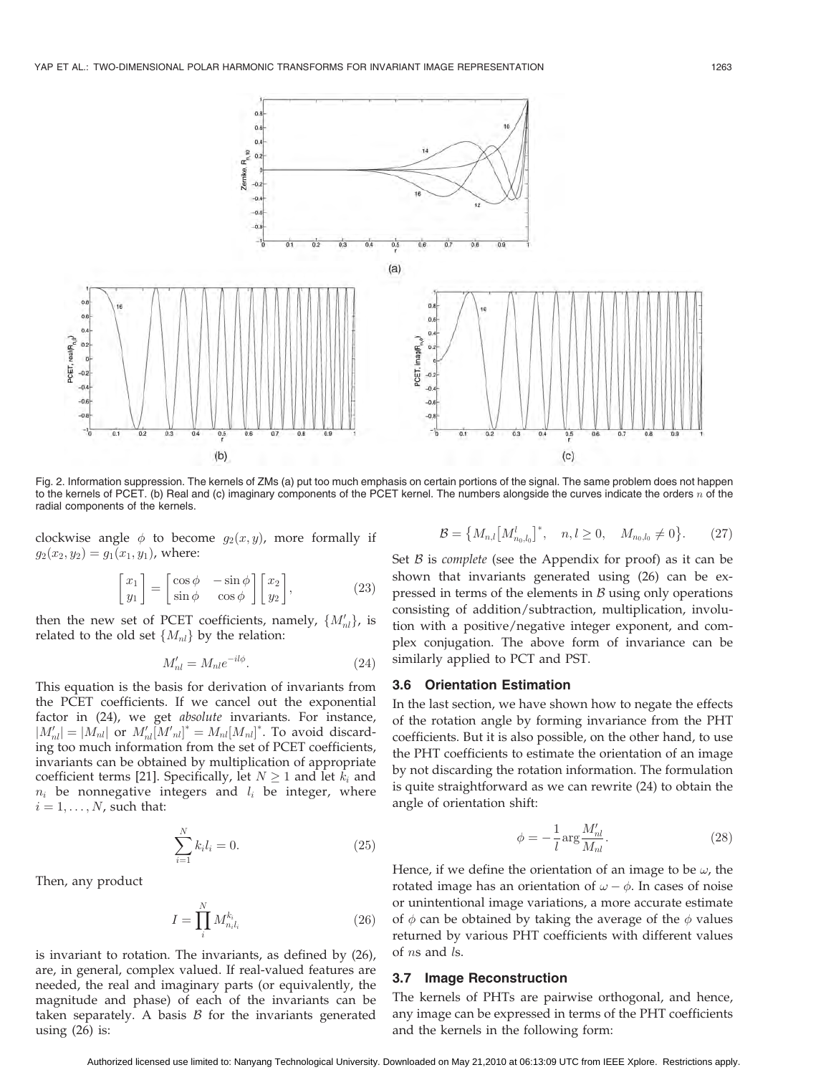

Fig. 2. Information suppression. The kernels of ZMs (a) put too much emphasis on certain portions of the signal. The same problem does not happen to the kernels of PCET. (b) Real and (c) imaginary components of the PCET kernel. The numbers alongside the curves indicate the orders  $n$  of the radial components of the kernels.

clockwise angle  $\phi$  to become  $g_2(x, y)$ , more formally if  $g_2(x_2, y_2) = g_1(x_1, y_1)$ , where:

$$
\begin{bmatrix} x_1 \\ y_1 \end{bmatrix} = \begin{bmatrix} \cos \phi & -\sin \phi \\ \sin \phi & \cos \phi \end{bmatrix} \begin{bmatrix} x_2 \\ y_2 \end{bmatrix},
$$
 (23)

then the new set of PCET coefficients, namely,  $\{M'_{nl}\}$ , is related to the old set  $\{M_{nl}\}\$  by the relation:

$$
M'_{nl} = M_{nl} e^{-il\phi}.
$$
\n(24)

This equation is the basis for derivation of invariants from the PCET coefficients. If we cancel out the exponential factor in (24), we get absolute invariants. For instance,  $|M'_{nl}| = |M_{nl}|$  or  $M'_{nl}[M'_{nl}]^* = M_{nl}[M_{nl}]^*$ . To avoid discarding too much information from the set of PCET coefficients, invariants can be obtained by multiplication of appropriate coefficient terms [21]. Specifically, let  $N \geq 1$  and let  $k_i$  and  $n_i$  be nonnegative integers and  $l_i$  be integer, where  $i = 1, \ldots, N$ , such that:

$$
\sum_{i=1}^{N} k_i l_i = 0.
$$
\n(25)

Then, any product

$$
I = \prod_{i}^{N} M_{n_i l_i}^{k_i} \tag{26}
$$

is invariant to rotation. The invariants, as defined by (26), are, in general, complex valued. If real-valued features are needed, the real and imaginary parts (or equivalently, the magnitude and phase) of each of the invariants can be taken separately. A basis  $B$  for the invariants generated using (26) is:

 $\mathcal{B} = \left\{ M_{n,l} \left[ M_{n_0,l_0}^l \right. \right.$  $\left]^{*}, \quad n, l \geq 0, \quad M_{n_{0},l_{0}} \neq 0 \right\}$  $(27)$ 

Set  $B$  is *complete* (see the Appendix for proof) as it can be shown that invariants generated using (26) can be expressed in terms of the elements in  $\beta$  using only operations consisting of addition/subtraction, multiplication, involution with a positive/negative integer exponent, and complex conjugation. The above form of invariance can be similarly applied to PCT and PST.

#### 3.6 Orientation Estimation

In the last section, we have shown how to negate the effects of the rotation angle by forming invariance from the PHT coefficients. But it is also possible, on the other hand, to use the PHT coefficients to estimate the orientation of an image by not discarding the rotation information. The formulation is quite straightforward as we can rewrite (24) to obtain the angle of orientation shift:

$$
\phi = -\frac{1}{l} \arg \frac{M'_{nl}}{M_{nl}}.\tag{28}
$$

Hence, if we define the orientation of an image to be  $\omega$ , the rotated image has an orientation of  $\omega - \phi$ . In cases of noise or unintentional image variations, a more accurate estimate of  $\phi$  can be obtained by taking the average of the  $\phi$  values returned by various PHT coefficients with different values of ns and ls.

#### 3.7 Image Reconstruction

The kernels of PHTs are pairwise orthogonal, and hence, any image can be expressed in terms of the PHT coefficients and the kernels in the following form: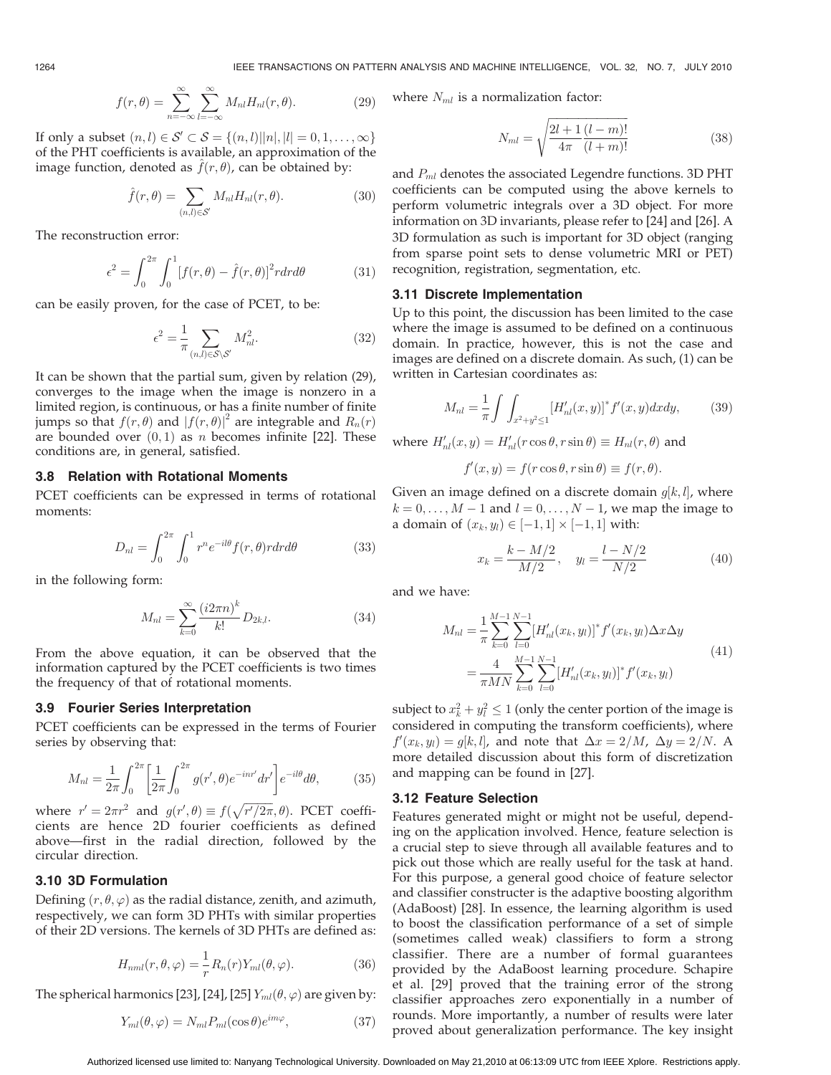$$
f(r,\theta) = \sum_{n=-\infty}^{\infty} \sum_{l=-\infty}^{\infty} M_{nl} H_{nl}(r,\theta).
$$
 (29)

If only a subset  $(n, l) \in \mathcal{S}' \subset \mathcal{S} = \{(n, l) | |n|, |l| = 0, 1, \ldots, \infty\}$ of the PHT coefficients is available, an approximation of the image function, denoted as  $f(r, \theta)$ , can be obtained by:

$$
\hat{f}(r,\theta) = \sum_{(n,l)\in\mathcal{S}'} M_{nl} H_{nl}(r,\theta).
$$
\n(30)

The reconstruction error:

$$
\epsilon^2 = \int_0^{2\pi} \int_0^1 [f(r,\theta) - \hat{f}(r,\theta)]^2 r dr d\theta \tag{31}
$$

can be easily proven, for the case of PCET, to be:

$$
\epsilon^2 = \frac{1}{\pi} \sum_{(n,l) \in \mathcal{S} \backslash \mathcal{S}'} M_{nl}^2.
$$
 (32)

It can be shown that the partial sum, given by relation (29), converges to the image when the image is nonzero in a limited region, is continuous, or has a finite number of finite jumps so that  $f(r, \theta)$  and  $|f(r, \theta)|^2$  are integrable and  $R_n(r)$ are bounded over  $(0, 1)$  as n becomes infinite [22]. These conditions are, in general, satisfied.

#### 3.8 Relation with Rotational Moments

PCET coefficients can be expressed in terms of rotational moments:

$$
D_{nl} = \int_0^{2\pi} \int_0^1 r^n e^{-il\theta} f(r,\theta) r dr d\theta \qquad (33)
$$

in the following form:

$$
M_{nl} = \sum_{k=0}^{\infty} \frac{(i2\pi n)^k}{k!} D_{2k,l}.
$$
 (34)

From the above equation, it can be observed that the information captured by the PCET coefficients is two times the frequency of that of rotational moments.

#### 3.9 Fourier Series Interpretation

PCET coefficients can be expressed in the terms of Fourier series by observing that:

$$
M_{nl} = \frac{1}{2\pi} \int_0^{2\pi} \left[ \frac{1}{2\pi} \int_0^{2\pi} g(r', \theta) e^{-inr'} dr' \right] e^{-il\theta} d\theta, \tag{35}
$$

where  $r' = 2\pi r^2$  and  $g(r', \theta) \equiv f(\sqrt{r'/2\pi}, \theta)$ . PCET coefficients are hence 2D fourier coefficients as defined above—first in the radial direction, followed by the circular direction.

#### 3.10 3D Formulation

Defining  $(r, \theta, \varphi)$  as the radial distance, zenith, and azimuth, respectively, we can form 3D PHTs with similar properties of their 2D versions. The kernels of 3D PHTs are defined as:

$$
H_{nml}(r,\theta,\varphi) = \frac{1}{r} R_n(r) Y_{ml}(\theta,\varphi).
$$
 (36)

The spherical harmonics [23], [24], [25]  $Y_{ml}(\theta, \varphi)$  are given by:

$$
Y_{ml}(\theta,\varphi) = N_{ml} P_{ml}(\cos\theta)e^{im\varphi},\qquad(37)
$$

where  $N_{ml}$  is a normalization factor:

$$
N_{ml} = \sqrt{\frac{2l+1}{4\pi} \frac{(l-m)!}{(l+m)!}}
$$
(38)

and  $P<sub>ml</sub>$  denotes the associated Legendre functions. 3D PHT coefficients can be computed using the above kernels to perform volumetric integrals over a 3D object. For more information on 3D invariants, please refer to [24] and [26]. A 3D formulation as such is important for 3D object (ranging from sparse point sets to dense volumetric MRI or PET) recognition, registration, segmentation, etc.

#### 3.11 Discrete Implementation

Up to this point, the discussion has been limited to the case where the image is assumed to be defined on a continuous domain. In practice, however, this is not the case and images are defined on a discrete domain. As such, (1) can be written in Cartesian coordinates as:

$$
M_{nl} = \frac{1}{\pi} \int \int_{x^2 + y^2 \le 1} [H'_{nl}(x, y)]^* f'(x, y) dx dy, \tag{39}
$$

where  $H'_{nl}(x, y) = H'_{nl}(r \cos \theta, r \sin \theta) \equiv H_{nl}(r, \theta)$  and

$$
f'(x, y) = f(r \cos \theta, r \sin \theta) \equiv f(r, \theta).
$$

Given an image defined on a discrete domain  $g[k,l]$ , where  $k = 0, \ldots, M - 1$  and  $l = 0, \ldots, N - 1$ , we map the image to a domain of  $(x_k, y_l) \in [-1, 1] \times [-1, 1]$  with:

$$
x_k = \frac{k - M/2}{M/2}, \quad y_l = \frac{l - N/2}{N/2} \tag{40}
$$

and we have:

$$
M_{nl} = \frac{1}{\pi} \sum_{k=0}^{M-1} \sum_{l=0}^{N-1} [H'_{nl}(x_k, y_l)]^* f'(x_k, y_l) \Delta x \Delta y
$$
  
= 
$$
\frac{4}{\pi M N} \sum_{k=0}^{M-1} \sum_{l=0}^{N-1} [H'_{nl}(x_k, y_l)]^* f'(x_k, y_l)
$$
 (41)

subject to  $x_k^2 + y_l^2 \le 1$  (only the center portion of the image is considered in computing the transform coefficients), where  $f'(x_k, y_l) = g[k, l]$ , and note that  $\Delta x = 2/M$ ,  $\Delta y = 2/N$ . A more detailed discussion about this form of discretization and mapping can be found in [27].

#### 3.12 Feature Selection

Features generated might or might not be useful, depending on the application involved. Hence, feature selection is a crucial step to sieve through all available features and to pick out those which are really useful for the task at hand. For this purpose, a general good choice of feature selector and classifier constructer is the adaptive boosting algorithm (AdaBoost) [28]. In essence, the learning algorithm is used to boost the classification performance of a set of simple (sometimes called weak) classifiers to form a strong classifier. There are a number of formal guarantees provided by the AdaBoost learning procedure. Schapire et al. [29] proved that the training error of the strong classifier approaches zero exponentially in a number of rounds. More importantly, a number of results were later proved about generalization performance. The key insight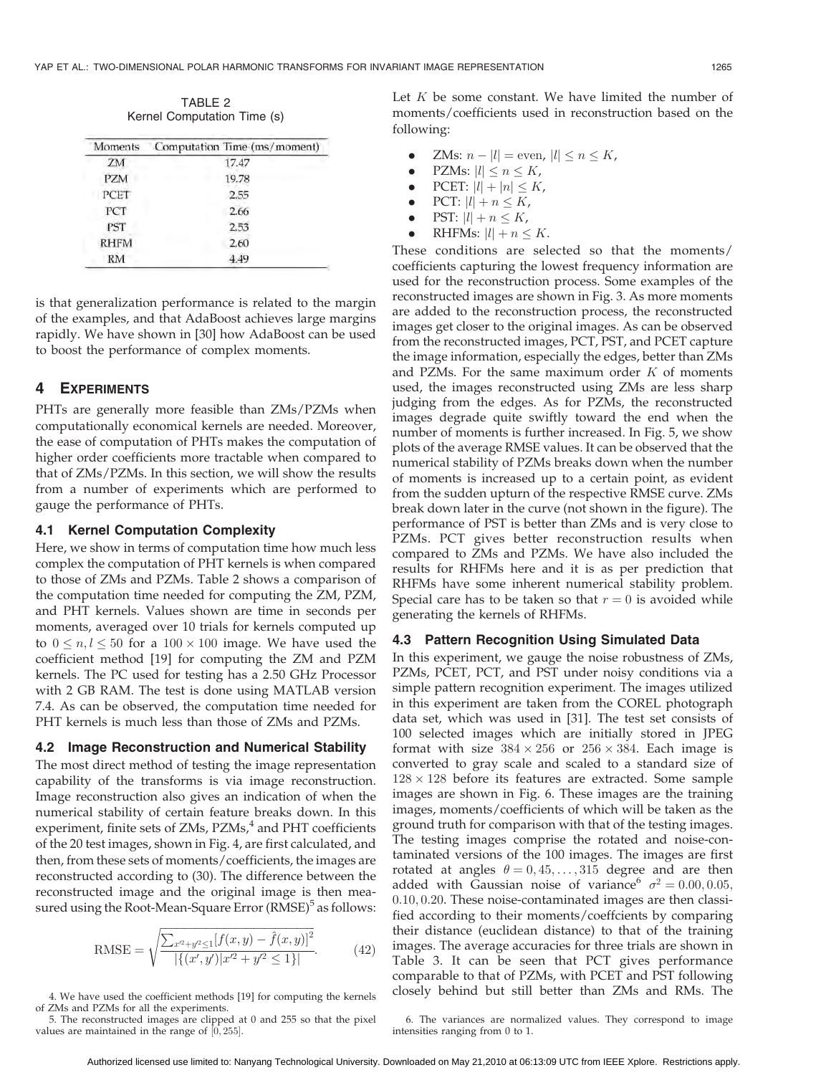TABLE 2 Kernel Computation Time (s)

| Moments     | Computation Time (ms/moment) |
|-------------|------------------------------|
| ZM          | 17.47                        |
| PZM         | 19.78                        |
| PCET        | 2.55                         |
| PCT         | 2.66                         |
| <b>PST</b>  | 2.53                         |
| <b>RHFM</b> | 2.60                         |
| RM          | 4.49                         |

is that generalization performance is related to the margin of the examples, and that AdaBoost achieves large margins rapidly. We have shown in [30] how AdaBoost can be used to boost the performance of complex moments.

## 4 EXPERIMENTS

PHTs are generally more feasible than ZMs/PZMs when computationally economical kernels are needed. Moreover, the ease of computation of PHTs makes the computation of higher order coefficients more tractable when compared to that of ZMs/PZMs. In this section, we will show the results from a number of experiments which are performed to gauge the performance of PHTs.

#### 4.1 Kernel Computation Complexity

Here, we show in terms of computation time how much less complex the computation of PHT kernels is when compared to those of ZMs and PZMs. Table 2 shows a comparison of the computation time needed for computing the ZM, PZM, and PHT kernels. Values shown are time in seconds per moments, averaged over 10 trials for kernels computed up to  $0 \leq n, l \leq 50$  for a  $100 \times 100$  image. We have used the coefficient method [19] for computing the ZM and PZM kernels. The PC used for testing has a 2.50 GHz Processor with 2 GB RAM. The test is done using MATLAB version 7.4. As can be observed, the computation time needed for PHT kernels is much less than those of ZMs and PZMs.

#### 4.2 Image Reconstruction and Numerical Stability

The most direct method of testing the image representation capability of the transforms is via image reconstruction. Image reconstruction also gives an indication of when the numerical stability of certain feature breaks down. In this experiment, finite sets of ZMs, PZMs,<sup>4</sup> and PHT coefficients of the 20 test images, shown in Fig. 4, are first calculated, and then, from these sets of moments/coefficients, the images are reconstructed according to (30). The difference between the reconstructed image and the original image is then measured using the Root-Mean-Square Error (RMSE)<sup>5</sup> as follows:

RMSE = 
$$
\sqrt{\frac{\sum_{x^2+y^2 \le 1} [f(x,y) - \hat{f}(x,y)]^2}{|\{(x',y')|x'^2 + y'^2 \le 1\}|}}.
$$
 (42)

4. We have used the coefficient methods [19] for computing the kernels of ZMs and PZMs for all the experiments.

5. The reconstructed images are clipped at 0 and 255 so that the pixel values are maintained in the range of  $[0, 255]$ .

Let  $K$  be some constant. We have limited the number of moments/coefficients used in reconstruction based on the following:

- ZMs:  $n |l|$  = even,  $|l| \le n \le K$ ,
- PZMs:  $|l| \leq n \leq K$ ,
- PCET:  $|l| + |n| \leq K$ ,
- $\bullet$  PCT:  $|l| + n \leq K$ ,
- PST:  $|l| + n \leq K$ ,
- RHFMs:  $|l| + n \leq K$ .

These conditions are selected so that the moments/ coefficients capturing the lowest frequency information are used for the reconstruction process. Some examples of the reconstructed images are shown in Fig. 3. As more moments are added to the reconstruction process, the reconstructed images get closer to the original images. As can be observed from the reconstructed images, PCT, PST, and PCET capture the image information, especially the edges, better than ZMs and PZMs. For the same maximum order  $K$  of moments used, the images reconstructed using ZMs are less sharp judging from the edges. As for PZMs, the reconstructed images degrade quite swiftly toward the end when the number of moments is further increased. In Fig. 5, we show plots of the average RMSE values. It can be observed that the numerical stability of PZMs breaks down when the number of moments is increased up to a certain point, as evident from the sudden upturn of the respective RMSE curve. ZMs break down later in the curve (not shown in the figure). The performance of PST is better than ZMs and is very close to PZMs. PCT gives better reconstruction results when compared to ZMs and PZMs. We have also included the results for RHFMs here and it is as per prediction that RHFMs have some inherent numerical stability problem. Special care has to be taken so that  $r = 0$  is avoided while generating the kernels of RHFMs.

#### 4.3 Pattern Recognition Using Simulated Data

In this experiment, we gauge the noise robustness of ZMs, PZMs, PCET, PCT, and PST under noisy conditions via a simple pattern recognition experiment. The images utilized in this experiment are taken from the COREL photograph data set, which was used in [31]. The test set consists of 100 selected images which are initially stored in JPEG format with size  $384 \times 256$  or  $256 \times 384$ . Each image is converted to gray scale and scaled to a standard size of  $128 \times 128$  before its features are extracted. Some sample images are shown in Fig. 6. These images are the training images, moments/coefficients of which will be taken as the ground truth for comparison with that of the testing images. The testing images comprise the rotated and noise-contaminated versions of the 100 images. The images are first rotated at angles  $\theta = 0, 45, \ldots, 315$  degree and are then added with Gaussian noise of variance<sup>6</sup>  $\sigma^2 = 0.00, 0.05,$ 0:10; 0:20. These noise-contaminated images are then classified according to their moments/coeffcients by comparing their distance (euclidean distance) to that of the training images. The average accuracies for three trials are shown in Table 3. It can be seen that PCT gives performance comparable to that of PZMs, with PCET and PST following closely behind but still better than ZMs and RMs. The

6. The variances are normalized values. They correspond to image intensities ranging from 0 to 1.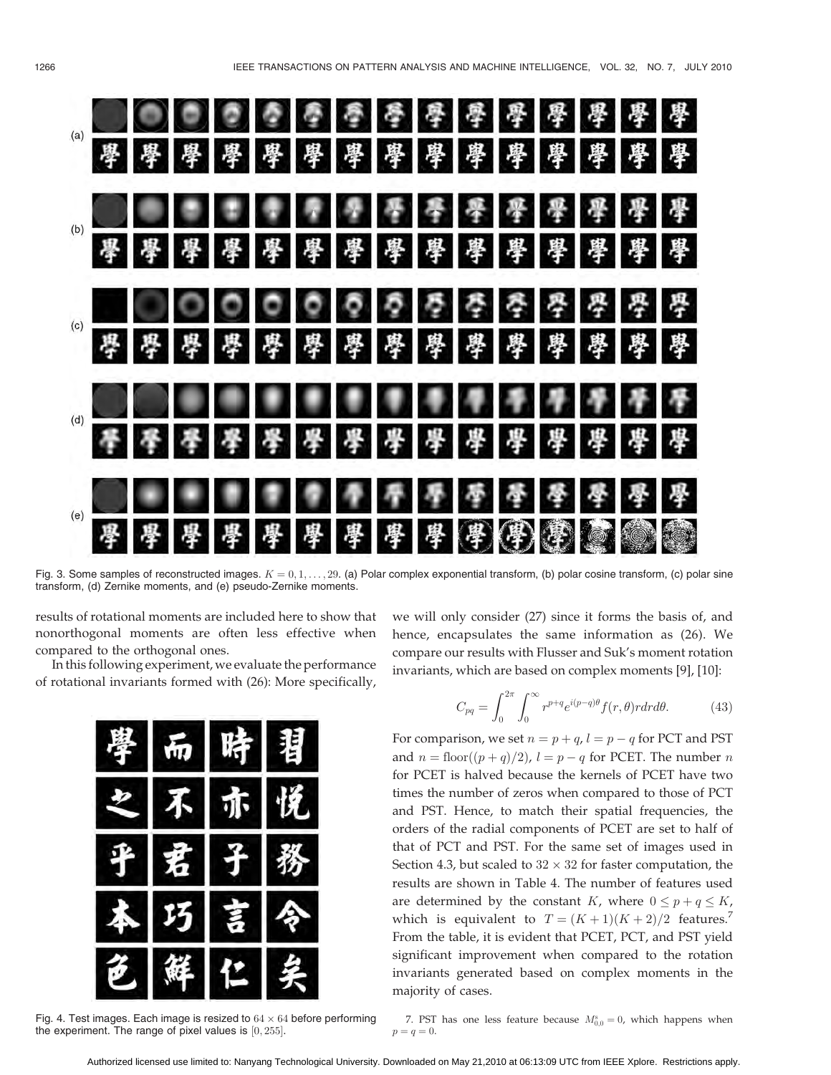

Fig. 3. Some samples of reconstructed images.  $K = 0, 1, \ldots, 29$ . (a) Polar complex exponential transform, (b) polar cosine transform, (c) polar sine transform, (d) Zernike moments, and (e) pseudo-Zernike moments.

results of rotational moments are included here to show that nonorthogonal moments are often less effective when compared to the orthogonal ones.

In this following experiment, we evaluate the performance of rotational invariants formed with (26): More specifically,



Fig. 4. Test images. Each image is resized to  $64 \times 64$  before performing the experiment. The range of pixel values is  $[0, 255]$ .

we will only consider (27) since it forms the basis of, and hence, encapsulates the same information as (26). We compare our results with Flusser and Suk's moment rotation invariants, which are based on complex moments [9], [10]:

$$
C_{pq} = \int_0^{2\pi} \int_0^{\infty} r^{p+q} e^{i(p-q)\theta} f(r,\theta) r dr d\theta.
$$
 (43)

For comparison, we set  $n = p + q$ ,  $l = p - q$  for PCT and PST and  $n = \text{floor}((p+q)/2)$ ,  $l = p - q$  for PCET. The number n for PCET is halved because the kernels of PCET have two times the number of zeros when compared to those of PCT and PST. Hence, to match their spatial frequencies, the orders of the radial components of PCET are set to half of that of PCT and PST. For the same set of images used in Section 4.3, but scaled to  $32 \times 32$  for faster computation, the results are shown in Table 4. The number of features used are determined by the constant K, where  $0 \le p + q \le K$ , which is equivalent to  $T = (K+1)(K+2)/2$  features.<sup>7</sup> From the table, it is evident that PCET, PCT, and PST yield significant improvement when compared to the rotation invariants generated based on complex moments in the majority of cases.

7. PST has one less feature because  $M_{0,0}^s = 0$ , which happens when  $p = q = 0.$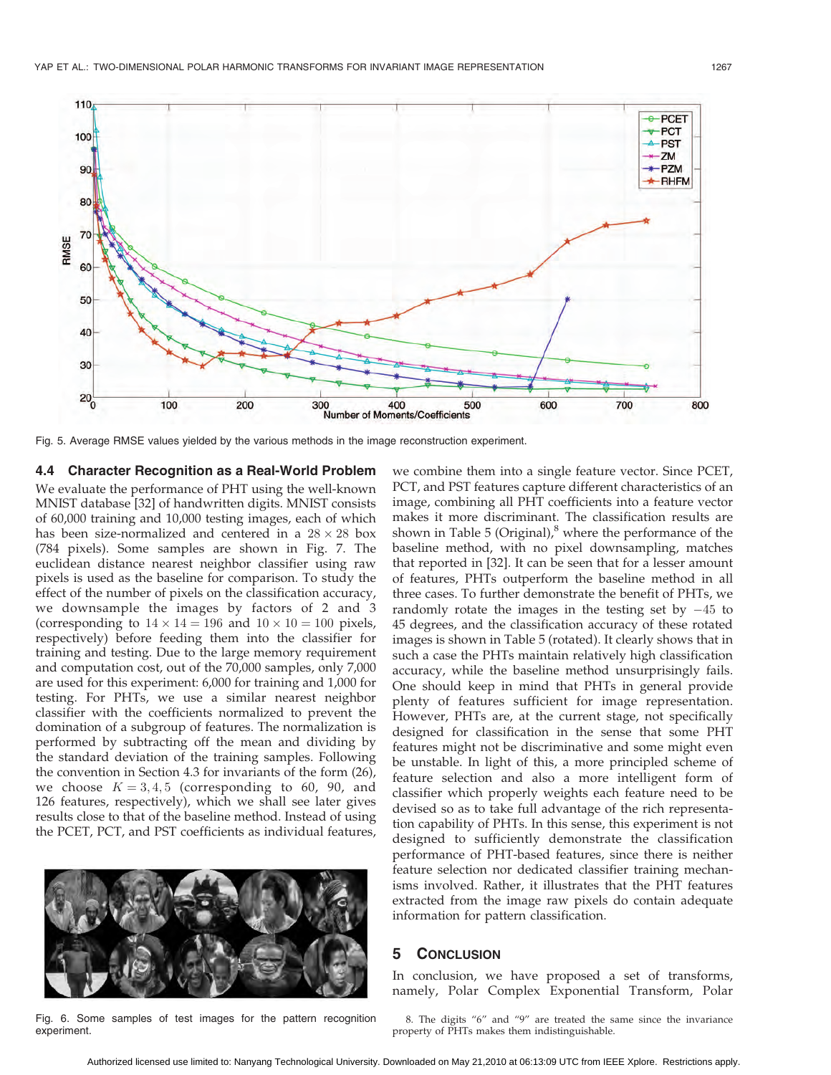

Fig. 5. Average RMSE values yielded by the various methods in the image reconstruction experiment.

## 4.4 Character Recognition as a Real-World Problem

We evaluate the performance of PHT using the well-known MNIST database [32] of handwritten digits. MNIST consists of 60,000 training and 10,000 testing images, each of which has been size-normalized and centered in a  $28 \times 28$  box (784 pixels). Some samples are shown in Fig. 7. The euclidean distance nearest neighbor classifier using raw pixels is used as the baseline for comparison. To study the effect of the number of pixels on the classification accuracy, we downsample the images by factors of 2 and 3 (corresponding to  $14 \times 14 = 196$  and  $10 \times 10 = 100$  pixels, respectively) before feeding them into the classifier for training and testing. Due to the large memory requirement and computation cost, out of the 70,000 samples, only 7,000 are used for this experiment: 6,000 for training and 1,000 for testing. For PHTs, we use a similar nearest neighbor classifier with the coefficients normalized to prevent the domination of a subgroup of features. The normalization is performed by subtracting off the mean and dividing by the standard deviation of the training samples. Following the convention in Section 4.3 for invariants of the form (26), we choose  $K = 3, 4, 5$  (corresponding to 60, 90, and 126 features, respectively), which we shall see later gives results close to that of the baseline method. Instead of using the PCET, PCT, and PST coefficients as individual features,



Fig. 6. Some samples of test images for the pattern recognition experiment.

we combine them into a single feature vector. Since PCET, PCT, and PST features capture different characteristics of an image, combining all PHT coefficients into a feature vector makes it more discriminant. The classification results are shown in Table 5 (Original), $<sup>8</sup>$  where the performance of the</sup> baseline method, with no pixel downsampling, matches that reported in [32]. It can be seen that for a lesser amount of features, PHTs outperform the baseline method in all three cases. To further demonstrate the benefit of PHTs, we randomly rotate the images in the testing set by  $-45$  to 45 degrees, and the classification accuracy of these rotated images is shown in Table 5 (rotated). It clearly shows that in such a case the PHTs maintain relatively high classification accuracy, while the baseline method unsurprisingly fails. One should keep in mind that PHTs in general provide plenty of features sufficient for image representation. However, PHTs are, at the current stage, not specifically designed for classification in the sense that some PHT features might not be discriminative and some might even be unstable. In light of this, a more principled scheme of feature selection and also a more intelligent form of classifier which properly weights each feature need to be devised so as to take full advantage of the rich representation capability of PHTs. In this sense, this experiment is not designed to sufficiently demonstrate the classification performance of PHT-based features, since there is neither feature selection nor dedicated classifier training mechanisms involved. Rather, it illustrates that the PHT features extracted from the image raw pixels do contain adequate information for pattern classification.

## 5 CONCLUSION

In conclusion, we have proposed a set of transforms, namely, Polar Complex Exponential Transform, Polar

8. The digits "6" and "9" are treated the same since the invariance property of PHTs makes them indistinguishable.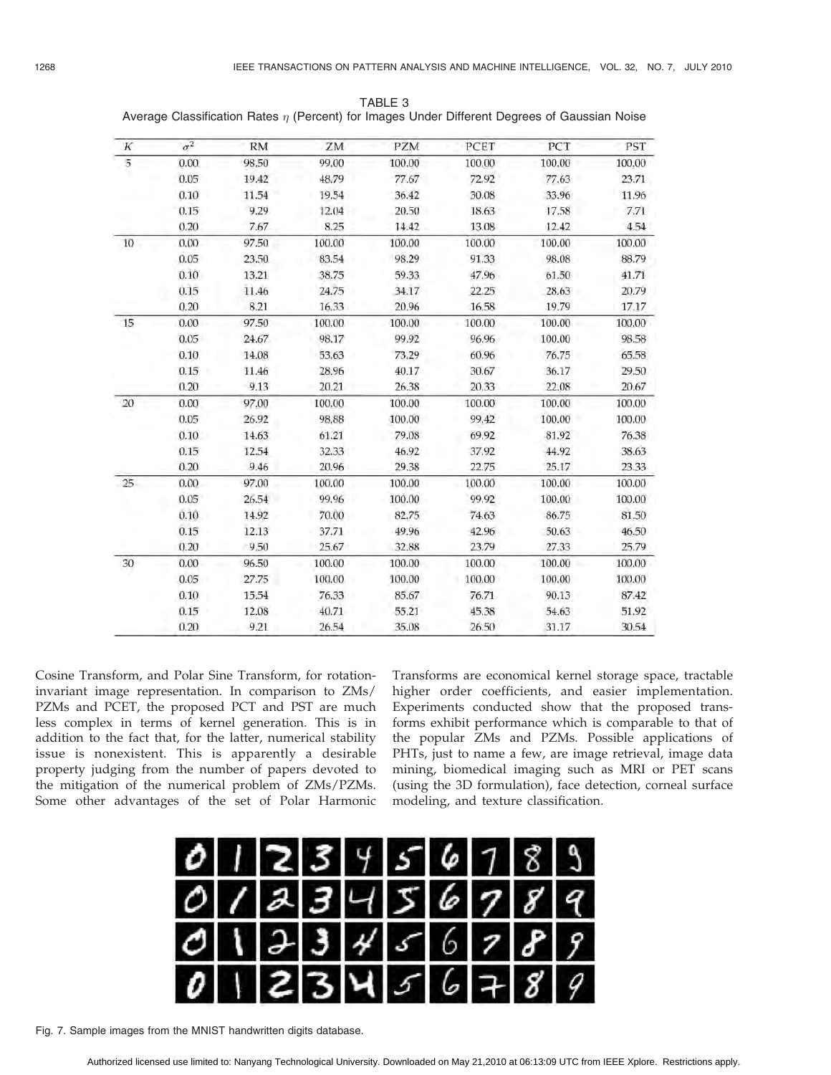| $_{\it K}$ | $\sigma^2$ | <b>RM</b> | ZM     | PZM    | PCET   | PCT    | PST    |
|------------|------------|-----------|--------|--------|--------|--------|--------|
| 5          | 0.00       | 98.50     | 99.00  | 100.00 | 100.00 | 100.00 | 100.00 |
|            | 0.05       | 19.42     | 48.79  | 77.67  | 72.92  | 77.63  | 23.71  |
|            | 0.10       | 11.54     | 19.54  | 36.42  | 30.08  | 33.96  | 11.96  |
|            | 0.15       | 9.29      | 12.04  | 20.50  | 18.63  | 17.58  | 7.71   |
|            | 0.20       | 7.67      | 8.25   | 14.42  | 13.08  | 12.42  | 4.54   |
| 10         | 0.00       | 97.50     | 100.00 | 100.00 | 100.00 | 100.00 | 100.00 |
|            | 0.05       | 23.50     | 83.54  | 98.29  | 91.33  | 98.08  | 88.79  |
|            | 0.10       | 13.21     | 38.75  | 59.33  | 47.96  | 61.50  | 41.71  |
|            | 0.15       | 11.46     | 24.75  | 34.17  | 22.25  | 28.63  | 20.79  |
|            | 0.20       | 8.21      | 16.33  | 20.96  | 16.58  | 19.79  | 17.17  |
| 15         | 0.00       | 97.50     | 100.00 | 100.00 | 100.00 | 100.00 | 100.00 |
|            | 0.05       | 24.67     | 98.17  | 99.92  | 96.96  | 100.00 | 98.58  |
|            | 0.10       | 14.08     | 53.63  | 73.29  | 60.96  | 76.75  | 65.58  |
|            | 0.15       | 11.46     | 28.96  | 40.17  | 30.67  | 36.17  | 29.50  |
|            | 0.20       | 9.13      | 20.21  | 26.38  | 20.33  | 22.08  | 20.67  |
| 20         | 0.00       | 97.00     | 100.00 | 100.00 | 100.00 | 100.00 | 100.00 |
|            | 0.05       | 26.92     | 98.88  | 100.00 | 99.42  | 100.00 | 100.00 |
|            | 0.10       | 14.63     | 61.21  | 79.08  | 69.92  | 81.92  | 76.38  |
|            | 0.15       | 12.54     | 32.33  | 46.92  | 37.92  | 44.92  | 38.63  |
|            | 0.20       | 9.46      | 20.96  | 29.38  | 22.75  | 25.17  | 23.33  |
| 25         | 0.00       | 97.00     | 100.00 | 100.00 | 100.00 | 100.00 | 100.00 |
|            | 0.05       | 26.54     | 99.96  | 100.00 | 99.92  | 100.00 | 100.00 |
|            | 0.10       | 14.92     | 70.00  | 82.75  | 74.63  | 86.75  | 81.50  |
|            | 0.15       | 12.13     | 37.71  | 49.96  | 42.96  | 50.63  | 46,50  |
|            | 0.20       | 9.50      | 25.67  | 32.88  | 23.79  | 27.33  | 25.79  |
| 30         | 0.00       | 96.50     | 100.00 | 100.00 | 100.00 | 100.00 | 100.00 |
|            | 0.05       | 27.75     | 100.00 | 100.00 | 100.00 | 100.00 | 100.00 |
|            | 0.10.      | 15.54     | 76.33  | 85.67  | 76.71  | 90.13  | 87.42  |
|            | 0.15       | 12.08     | 40.71  | 55.21  | 45.38  | 54.63  | 51.92  |
|            | 0.20       | 9.21      | 26.54  | 35.08  | 26.50  | 31.17  | 30.54  |

TABLE 3 Average Classification Rates  $\eta$  (Percent) for Images Under Different Degrees of Gaussian Noise

Cosine Transform, and Polar Sine Transform, for rotationinvariant image representation. In comparison to ZMs/ PZMs and PCET, the proposed PCT and PST are much less complex in terms of kernel generation. This is in addition to the fact that, for the latter, numerical stability issue is nonexistent. This is apparently a desirable property judging from the number of papers devoted to the mitigation of the numerical problem of ZMs/PZMs. Some other advantages of the set of Polar Harmonic

Transforms are economical kernel storage space, tractable higher order coefficients, and easier implementation. Experiments conducted show that the proposed transforms exhibit performance which is comparable to that of the popular ZMs and PZMs. Possible applications of PHTs, just to name a few, are image retrieval, image data mining, biomedical imaging such as MRI or PET scans (using the 3D formulation), face detection, corneal surface modeling, and texture classification.

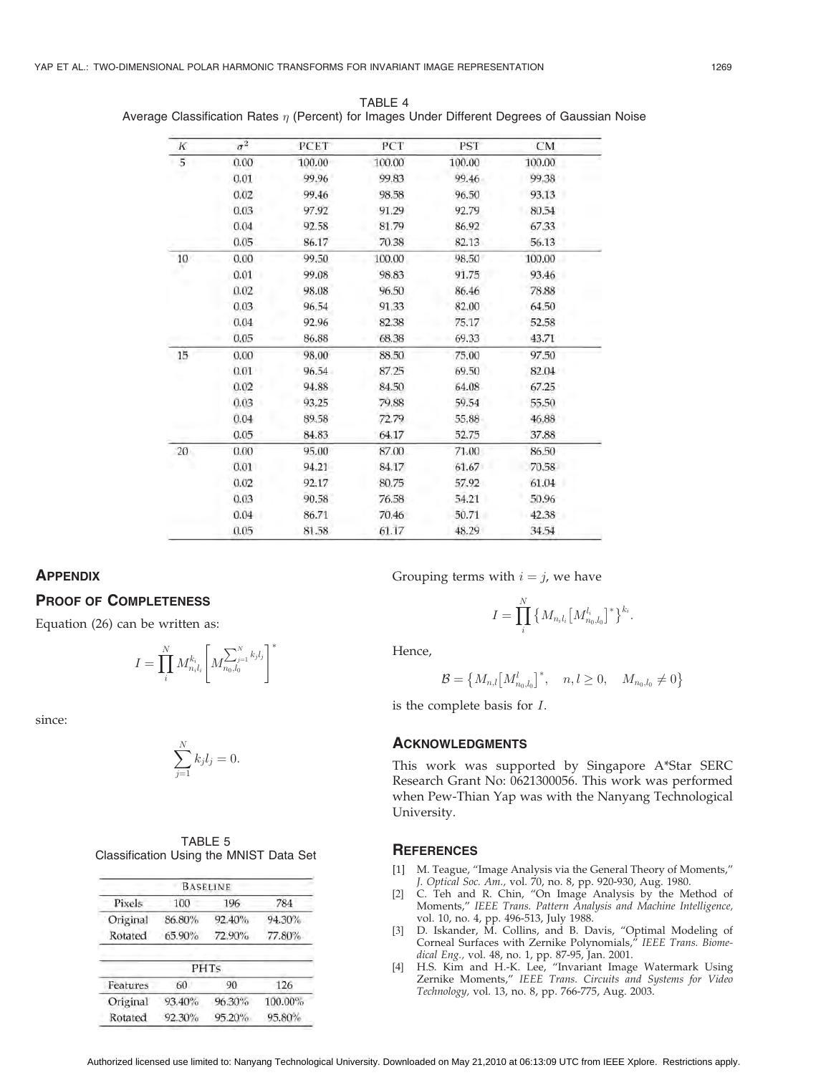| K     | $\sigma^2$ | PCET   | PCT    | PST    | CM     |
|-------|------------|--------|--------|--------|--------|
| 5     | 0.00       | 100.00 | 100.00 | 100.00 | 100.00 |
|       | 0.01       | 99.96  | 99.83  | 99.46  | 99.38  |
|       | 0.02       | 99.46  | 98.58  | 96.50  | 93.13  |
|       | 0.03       | 97.92  | 91.29  | 92.79  | 80.54  |
|       | 0.04       | 92.58  | 81.79  | 86.92  | 67.33  |
|       | 0.05       | 86.17  | 70.38  | 82.13  | 56.13  |
| 10    | 0.00       | 99.50  | 100.00 | 98.50  | 100.00 |
|       | 0.01       | 99.08  | 98.83  | 91.75  | 93.46  |
|       | 0.02       | 98.08  | 96.50  | 86.46  | 78.88  |
|       | 0.03       | 96.54  | 91,33  | 82.00  | 64.50  |
|       | 0.04       | 92.96  | 82.38  | 75.17  | 52.58  |
|       | 0.05       | 86.88  | 68.38  | 69.33  | 43.71  |
| $15-$ | 0.00       | 98.00  | 88.50  | 75.00  | 97.50  |
|       | 0.01       | 96.54  | 87.25  | 69.50  | 82.04  |
|       | 0.02       | 94.88  | 84.50  | 64.08  | 67.25  |
|       | 0.03       | 93.25  | 79.88  | 59.54  | 55.50  |
|       | 0.04       | 89.58  | 72.79  | 55,88  | 46.88  |
|       | 0.05       | 84.83  | 64.17  | 52.75  | 37.88  |
| 20    | 0.00       | 95.00  | 87.00  | 71.00  | 86.50  |
|       | 0.01       | 94.21  | 84.17  | 61.67  | 70.58  |
|       | 0.02       | 92.17  | 80.75  | 57.92  | 61.04  |
|       | 0.03       | 90.58  | 76.58  | 54.21  | 50.96  |
|       | 0.04       | 86.71  | 70.46  | 50.71  | 42.38  |
|       | 0.05       | 81.58  | 61.17  | 48.29  | 34.54  |

TABLE 4 Average Classification Rates  $\eta$  (Percent) for Images Under Different Degrees of Gaussian Noise

## **APPENDIX**

## PROOF OF COMPLETENESS

Equation (26) can be written as:

$$
I = \prod_i^N M_{n_i l_i}^{k_i} \Bigg[ M_{n_0, l_0}^{\sum_{j=1}^N k_j l_j} \Bigg]^*
$$

since:

$$
\sum_{j=1}^N k_j l_j = 0.
$$

|                                         | TABLE 5 |  |  |
|-----------------------------------------|---------|--|--|
| Classification Using the MNIST Data Set |         |  |  |

|          |        | <b>BASELINE</b> |         |
|----------|--------|-----------------|---------|
| Pixels   | 100    | 196             | 784     |
| Original | 86.80% | 92.40%          | 94.30%  |
| Rotated  | 65.90% | 72.90%          | 77.80%  |
|          |        | PHTs            |         |
| Features | 60     | 90              | 126     |
|          |        |                 |         |
| Original | 93.40% | 96.30%          | 100.00% |
| Rotated  | 92.30% | 95.20%          | 95.80%  |
|          |        |                 |         |

Grouping terms with  $i = j$ , we have

$$
I = \prod_i^N \left\{ M_{n_i l_i} \left[ M_{n_0, l_0}^{l_i} \right]^* \right\}^{k_i}.
$$

Hence,

$$
\mathcal{B} = \big\{ M_{n,l} \big[M_{n_0,l_0}^l \big]^*, \quad n,l \geq 0, \quad M_{n_0,l_0} \neq 0 \big\}
$$

is the complete basis for I.

#### **ACKNOWLEDGMENTS**

This work was supported by Singapore A\*Star SERC Research Grant No: 0621300056. This work was performed when Pew-Thian Yap was with the Nanyang Technological University.

#### **REFERENCES**

- [1] M. Teague, "Image Analysis via the General Theory of Moments," J. Optical Soc. Am., vol. 70, no. 8, pp. 920-930, Aug. 1980.
- [2] C. Teh and R. Chin, "On Image Analysis by the Method of Moments," IEEE Trans. Pattern Analysis and Machine Intelligence, vol. 10, no. 4, pp. 496-513, July 1988.
- [3] D. Iskander, M. Collins, and B. Davis, "Optimal Modeling of Corneal Surfaces with Zernike Polynomials," IEEE Trans. Biomedical Eng., vol. 48, no. 1, pp. 87-95, Jan. 2001.
- [4] H.S. Kim and H.-K. Lee, "Invariant Image Watermark Using Zernike Moments," IEEE Trans. Circuits and Systems for Video Technology, vol. 13, no. 8, pp. 766-775, Aug. 2003.